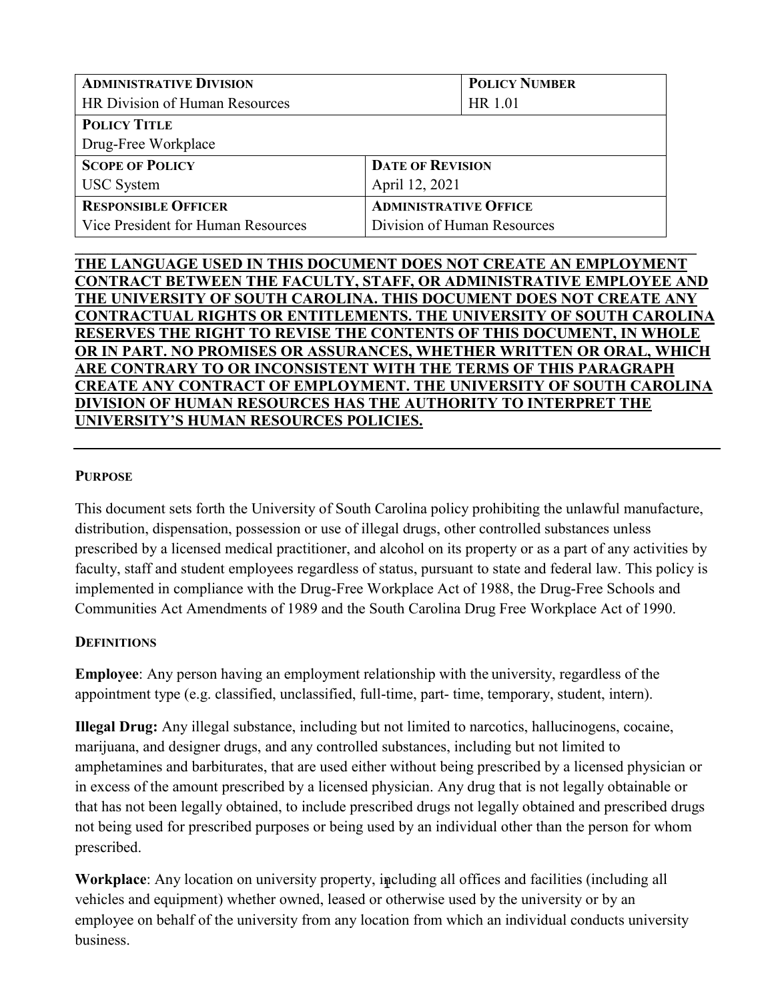| <b>ADMINISTRATIVE DIVISION</b>     | <b>POLICY NUMBER</b>         |  |
|------------------------------------|------------------------------|--|
| HR Division of Human Resources     | HR 1.01                      |  |
| <b>POLICY TITLE</b>                |                              |  |
| Drug-Free Workplace                |                              |  |
| <b>SCOPE OF POLICY</b>             | <b>DATE OF REVISION</b>      |  |
| <b>USC</b> System                  | April 12, 2021               |  |
| <b>RESPONSIBLE OFFICER</b>         | <b>ADMINISTRATIVE OFFICE</b> |  |
| Vice President for Human Resources | Division of Human Resources  |  |

## **\_\_\_\_\_\_\_\_\_\_\_\_\_\_\_\_\_\_\_\_\_\_\_\_\_\_\_\_\_\_\_\_\_\_\_\_\_\_\_\_\_\_\_\_\_\_\_\_\_\_\_\_\_\_\_\_\_\_\_\_\_\_\_\_\_\_\_\_\_\_\_\_\_\_\_\_\_\_\_\_\_\_ THE LANGUAGE USED IN THIS DOCUMENT DOES NOT CREATE AN EMPLOYMENT CONTRACT BETWEEN THE FACULTY, STAFF, OR ADMINISTRATIVE EMPLOYEE AND THE UNIVERSITY OF SOUTH CAROLINA. THIS DOCUMENT DOES NOT CREATE ANY CONTRACTUAL RIGHTS OR ENTITLEMENTS. THE UNIVERSITY OF SOUTH CAROLINA RESERVES THE RIGHT TO REVISE THE CONTENTS OF THIS DOCUMENT, IN WHOLE OR IN PART. NO PROMISES OR ASSURANCES, WHETHER WRITTEN OR ORAL, WHICH ARE CONTRARY TO OR INCONSISTENT WITH THE TERMS OF THIS PARAGRAPH CREATE ANY CONTRACT OF EMPLOYMENT. THE UNIVERSITY OF SOUTH CAROLINA DIVISION OF HUMAN RESOURCES HAS THE AUTHORITY TO INTERPRET THE UNIVERSITY'S HUMAN RESOURCES POLICIES.**

### **PURPOSE**

This document sets forth the University of South Carolina policy prohibiting the unlawful manufacture, distribution, dispensation, possession or use of illegal drugs, other controlled substances unless prescribed by a licensed medical practitioner, and alcohol on its property or as a part of any activities by faculty, staff and student employees regardless of status, pursuant to state and federal law. This policy is implemented in compliance with the Drug-Free Workplace Act of 1988, the Drug-Free Schools and Communities Act Amendments of 1989 and the South Carolina Drug Free Workplace Act of 1990.

# **DEFINITIONS**

**Employee**: Any person having an employment relationship with the university, regardless of the appointment type (e.g. classified, unclassified, full-time, part- time, temporary, student, intern).

**Illegal Drug:** Any illegal substance, including but not limited to narcotics, hallucinogens, cocaine, marijuana, and designer drugs, and any controlled substances, including but not limited to amphetamines and barbiturates, that are used either without being prescribed by a licensed physician or in excess of the amount prescribed by a licensed physician. Any drug that is not legally obtainable or that has not been legally obtained, to include prescribed drugs not legally obtained and prescribed drugs not being used for prescribed purposes or being used by an individual other than the person for whom prescribed.

1 **Workplace**: Any location on university property, including all offices and facilities (including all vehicles and equipment) whether owned, leased or otherwise used by the university or by an employee on behalf of the university from any location from which an individual conducts university business.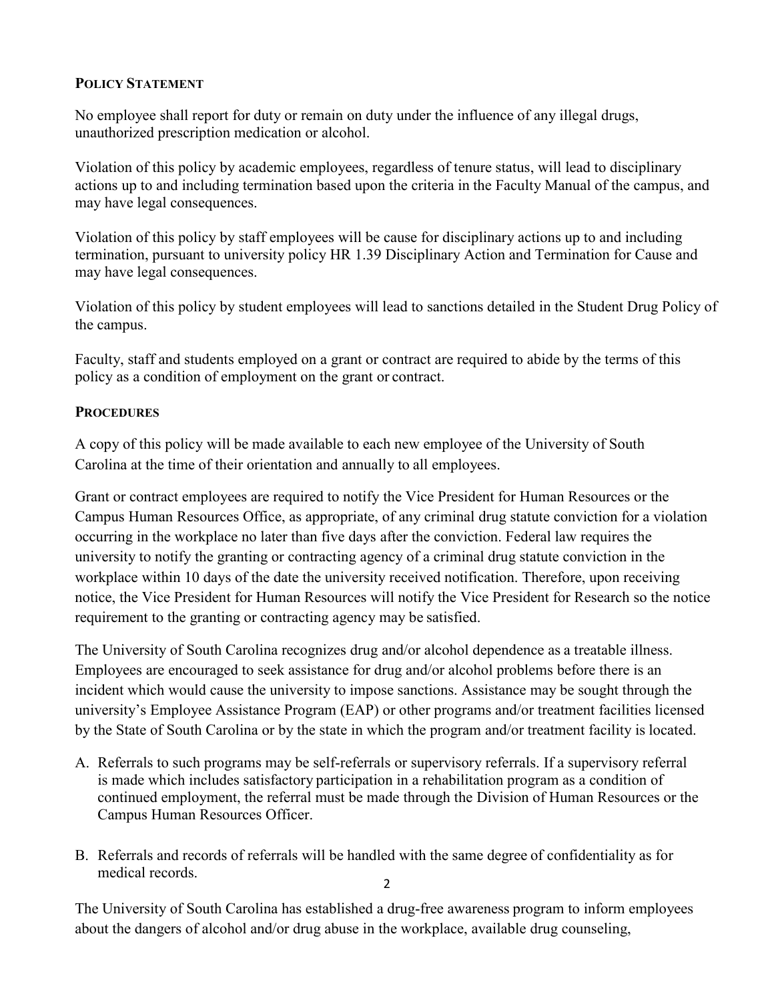# **POLICY STATEMENT**

No employee shall report for duty or remain on duty under the influence of any illegal drugs, unauthorized prescription medication or alcohol.

Violation of this policy by academic employees, regardless of tenure status, will lead to disciplinary actions up to and including termination based upon the criteria in the Faculty Manual of the campus, and may have legal consequences.

Violation of this policy by staff employees will be cause for disciplinary actions up to and including termination, pursuant to university policy HR 1.39 Disciplinary Action and Termination for Cause and may have legal consequences.

Violation of this policy by student employees will lead to sanctions detailed in the Student Drug Policy of the campus.

Faculty, staff and students employed on a grant or contract are required to abide by the terms of this policy as a condition of employment on the grant or contract.

#### **PROCEDURES**

A copy of this policy will be made available to each new employee of the University of South Carolina at the time of their orientation and annually to all employees.

Grant or contract employees are required to notify the Vice President for Human Resources or the Campus Human Resources Office, as appropriate, of any criminal drug statute conviction for a violation occurring in the workplace no later than five days after the conviction. Federal law requires the university to notify the granting or contracting agency of a criminal drug statute conviction in the workplace within 10 days of the date the university received notification. Therefore, upon receiving notice, the Vice President for Human Resources will notify the Vice President for Research so the notice requirement to the granting or contracting agency may be satisfied.

The University of South Carolina recognizes drug and/or alcohol dependence as a treatable illness. Employees are encouraged to seek assistance for drug and/or alcohol problems before there is an incident which would cause the university to impose sanctions. Assistance may be sought through the university's Employee Assistance Program (EAP) or other programs and/or treatment facilities licensed by the State of South Carolina or by the state in which the program and/or treatment facility is located.

- A. Referrals to such programs may be self-referrals or supervisory referrals. If a supervisory referral is made which includes satisfactory participation in a rehabilitation program as a condition of continued employment, the referral must be made through the Division of Human Resources or the Campus Human Resources Officer.
- 2 B. Referrals and records of referrals will be handled with the same degree of confidentiality as for medical records.

The University of South Carolina has established a drug-free awareness program to inform employees about the dangers of alcohol and/or drug abuse in the workplace, available drug counseling,